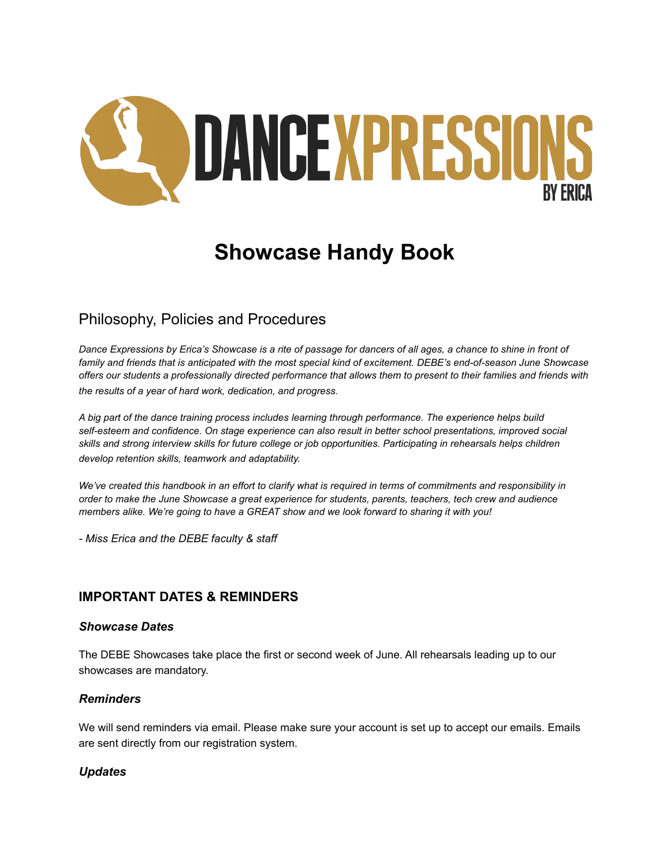

# **Showcase Handy Book**

## Philosophy, Policies and Procedures

*Dance Expressions by Erica's Showcase is a rite of passage for dancers of all ages, a chance to shine in front of family and friends that is anticipated with the most special kind of excitement. DEBE's end-of-season June Showcase offers our students a professionally directed performance that allows them to present to their families and friends with the results of a year of hard work, dedication, and progress.*

*A big part of the dance training process includes learning through performance. The experience helps build self-esteem and confidence. On stage experience can also result in better school presentations, improved social skills and strong interview skills for future college or job opportunities. Participating in rehearsals helps children develop retention skills, teamwork and adaptability.*

*We've created this handbook in an effort to clarify what is required in terms of commitments and responsibility in order to make the June Showcase a great experience for students, parents, teachers, tech crew and audience members alike. We're going to have a GREAT show and we look forward to sharing it with you!*

*- Miss Erica and the DEBE faculty & staff*

## **IMPORTANT DATES & REMINDERS**

#### *Showcase Dates*

The DEBE Showcases take place the first or second week of June. All rehearsals leading up to our showcases are mandatory.

## *Reminders*

We will send reminders via email. Please make sure your account is set up to accept our emails. Emails are sent directly from our registration system.

## *Updates*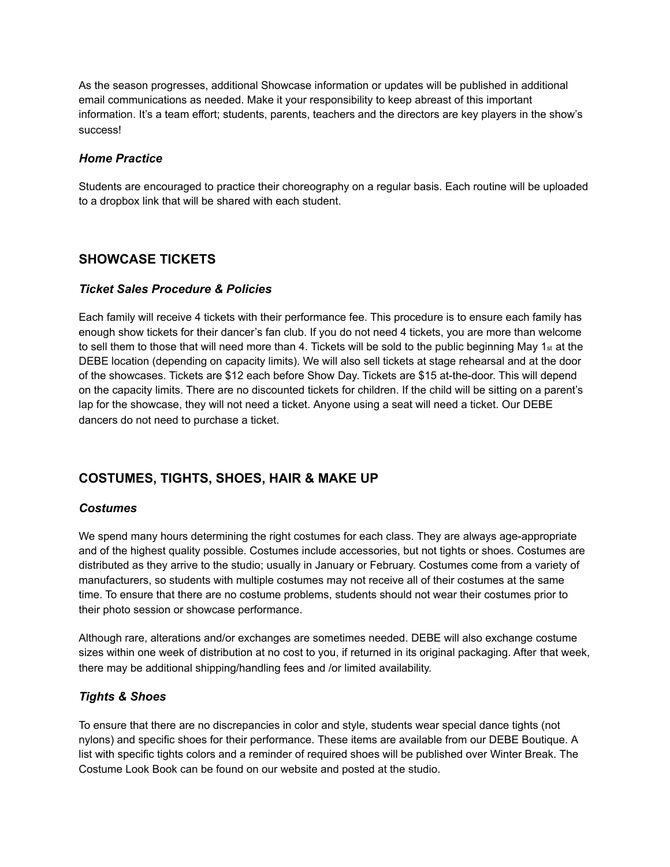As the season progresses, additional Showcase information or updates will be published in additional email communications as needed. Make it your responsibility to keep abreast of this important information. It's a team effort; students, parents, teachers and the directors are key players in the show's success!

#### *Home Practice*

Students are encouraged to practice their choreography on a regular basis. Each routine will be uploaded to a dropbox link that will be shared with each student.

## **SHOWCASE TICKETS**

#### *Ticket Sales Procedure & Policies*

Each family will receive 4 tickets with their performance fee. This procedure is to ensure each family has enough show tickets for their dancer's fan club. If you do not need 4 tickets, you are more than welcome to sell them to those that will need more than 4. Tickets will be sold to the public beginning May  $1_{st}$  at the DEBE location (depending on capacity limits). We will also sell tickets at stage rehearsal and at the door of the showcases. Tickets are \$12 each before Show Day. Tickets are \$15 at-the-door. This will depend on the capacity limits. There are no discounted tickets for children. If the child will be sitting on a parent's lap for the showcase, they will not need a ticket. Anyone using a seat will need a ticket. Our DEBE dancers do not need to purchase a ticket.

## **COSTUMES, TIGHTS, SHOES, HAIR & MAKE UP**

#### *Costumes*

We spend many hours determining the right costumes for each class. They are always age-appropriate and of the highest quality possible. Costumes include accessories, but not tights or shoes. Costumes are distributed as they arrive to the studio; usually in January or February. Costumes come from a variety of manufacturers, so students with multiple costumes may not receive all of their costumes at the same time. To ensure that there are no costume problems, students should not wear their costumes prior to their photo session or showcase performance.

Although rare, alterations and/or exchanges are sometimes needed. DEBE will also exchange costume sizes within one week of distribution at no cost to you, if returned in its original packaging. After that week, there may be additional shipping/handling fees and /or limited availability.

## *Tights & Shoes*

To ensure that there are no discrepancies in color and style, students wear special dance tights (not nylons) and specific shoes for their performance. These items are available from our DEBE Boutique. A list with specific tights colors and a reminder of required shoes will be published over Winter Break. The Costume Look Book can be found on our website and posted at the studio.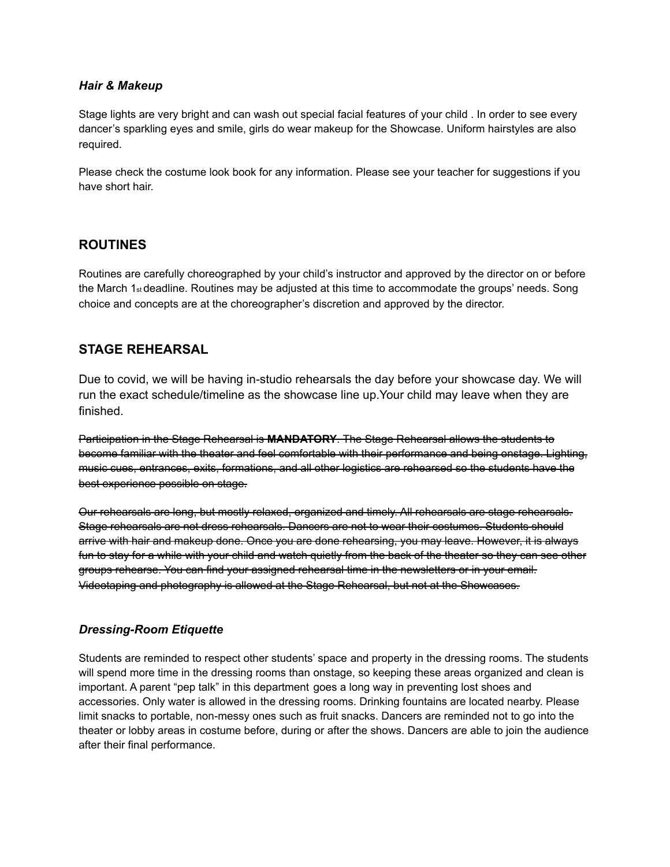#### *Hair & Makeup*

Stage lights are very bright and can wash out special facial features of your child . In order to see every dancer's sparkling eyes and smile, girls do wear makeup for the Showcase. Uniform hairstyles are also required.

Please check the costume look book for any information. Please see your teacher for suggestions if you have short hair.

## **ROUTINES**

Routines are carefully choreographed by your child's instructor and approved by the director on or before the March 1st deadline. Routines may be adjusted at this time to accommodate the groups' needs. Song choice and concepts are at the choreographer's discretion and approved by the director.

## **STAGE REHEARSAL**

Due to covid, we will be having in-studio rehearsals the day before your showcase day. We will run the exact schedule/timeline as the showcase line up.Your child may leave when they are finished.

Participation in the Stage Rehearsal is **MANDATORY**. The Stage Rehearsal allows the students to become familiar with the theater and feel comfortable with their performance and being onstage. Lighting, music cues, entrances, exits, formations, and all other logistics are rehearsed so the students have the best experience possible on stage.

Our rehearsals are long, but mostly relaxed, organized and timely. All rehearsals are stage rehearsals. Stage rehearsals are not dress rehearsals. Dancers are not to wear their costumes. Students should arrive with hair and makeup done. Once you are done rehearsing, you may leave. However, it is always fun to stay for a while with your child and watch quietly from the back of the theater so they can see other groups rehearse. You can find your assigned rehearsal time in the newsletters or in your email. Videotaping and photography is allowed at the Stage Rehearsal, but not at the Showcases.

## *Dressing-Room Etiquette*

Students are reminded to respect other students' space and property in the dressing rooms. The students will spend more time in the dressing rooms than onstage, so keeping these areas organized and clean is important. A parent "pep talk" in this department goes a long way in preventing lost shoes and accessories. Only water is allowed in the dressing rooms. Drinking fountains are located nearby. Please limit snacks to portable, non-messy ones such as fruit snacks. Dancers are reminded not to go into the theater or lobby areas in costume before, during or after the shows. Dancers are able to join the audience after their final performance.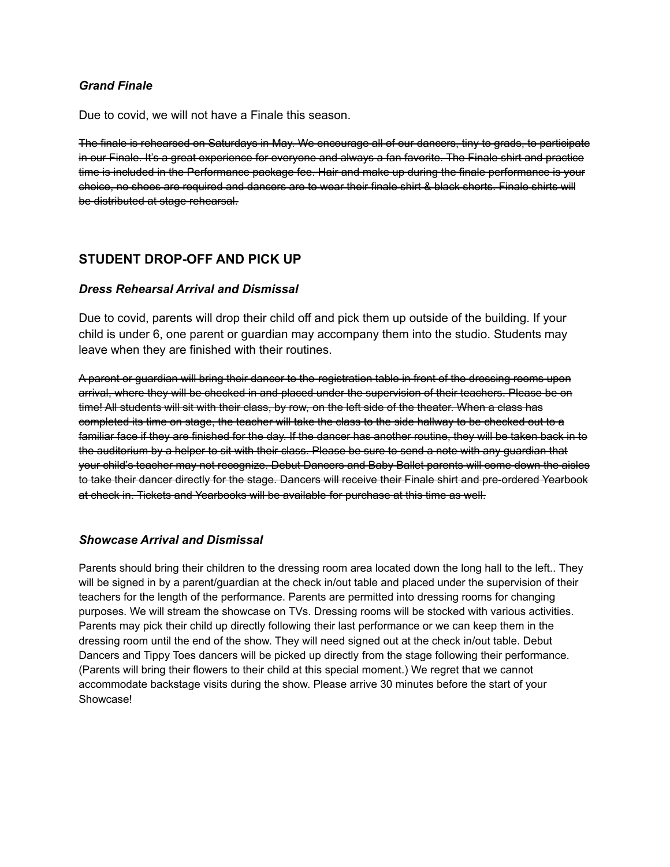## *Grand Finale*

Due to covid, we will not have a Finale this season.

The finale is rehearsed on Saturdays in May. We encourage all of our dancers, tiny to grads, to participate in our Finale. It's a great experience for everyone and always a fan favorite. The Finale shirt and practice time is included in the Performance package fee. Hair and make up during the finale performance is your choice, no shoes are required and dancers are to wear their finale shirt & black shorts. Finale shirts will be distributed at stage rehearsal.

## **STUDENT DROP-OFF AND PICK UP**

#### *Dress Rehearsal Arrival and Dismissal*

Due to covid, parents will drop their child off and pick them up outside of the building. If your child is under 6, one parent or guardian may accompany them into the studio. Students may leave when they are finished with their routines.

A parent or guardian will bring their dancer to the registration table in front of the dressing rooms upon arrival, where they will be checked in and placed under the supervision of their teachers. Please be on time! All students will sit with their class, by row, on the left side of the theater. When a class has completed its time on stage, the teacher will take the class to the side hallway to be checked out to a familiar face if they are finished for the day. If the dancer has another routine, they will be taken back in to the auditorium by a helper to sit with their class. Please be sure to send a note with any guardian that your child's teacher may not recognize. Debut Dancers and Baby Ballet parents will come down the aisles to take their dancer directly for the stage. Dancers will receive their Finale shirt and pre-ordered Yearbook at check in. Tickets and Yearbooks will be available for purchase at this time as well.

## *Showcase Arrival and Dismissal*

Parents should bring their children to the dressing room area located down the long hall to the left.. They will be signed in by a parent/guardian at the check in/out table and placed under the supervision of their teachers for the length of the performance. Parents are permitted into dressing rooms for changing purposes. We will stream the showcase on TVs. Dressing rooms will be stocked with various activities. Parents may pick their child up directly following their last performance or we can keep them in the dressing room until the end of the show. They will need signed out at the check in/out table. Debut Dancers and Tippy Toes dancers will be picked up directly from the stage following their performance. (Parents will bring their flowers to their child at this special moment.) We regret that we cannot accommodate backstage visits during the show. Please arrive 30 minutes before the start of your Showcase!